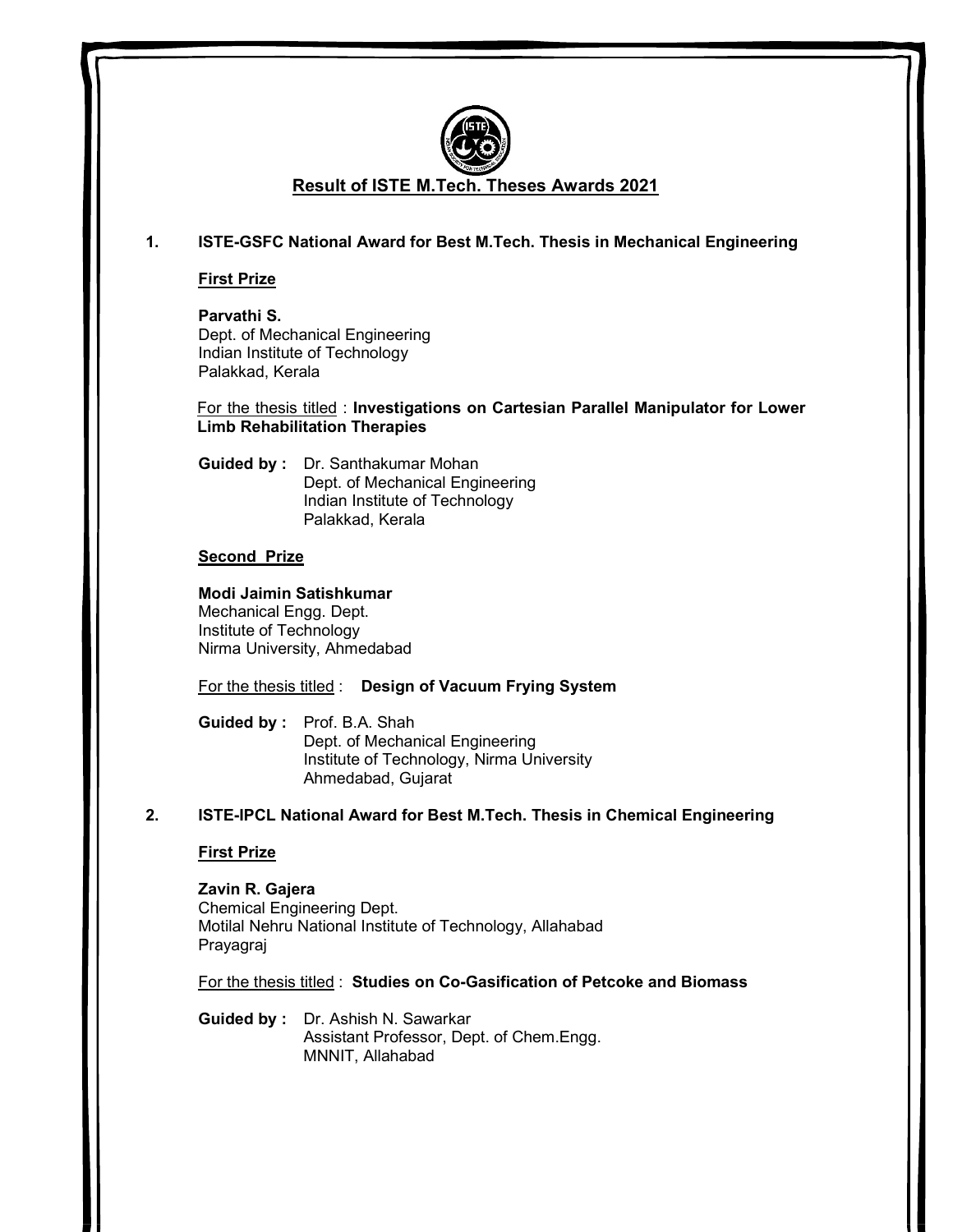

# Result of ISTE M.Tech. Theses Awards 2021

## 1. ISTE-GSFC National Award for Best M.Tech. Thesis in Mechanical Engineering

First Prize

 Parvathi S. Dept. of Mechanical Engineering Indian Institute of Technology Palakkad, Kerala

 For the thesis titled : Investigations on Cartesian Parallel Manipulator for Lower Limb Rehabilitation Therapies

 Guided by : Dr. Santhakumar Mohan Dept. of Mechanical Engineering Indian Institute of Technology Palakkad, Kerala

## Second Prize

Modi Jaimin Satishkumar

Mechanical Engg. Dept. Institute of Technology Nirma University, Ahmedabad

For the thesis titled : Design of Vacuum Frying System

 Guided by : Prof. B.A. Shah Dept. of Mechanical Engineering Institute of Technology, Nirma University Ahmedabad, Gujarat

## 2. ISTE-IPCL National Award for Best M.Tech. Thesis in Chemical Engineering

## First Prize

## Zavin R. Gajera

Chemical Engineering Dept. Motilal Nehru National Institute of Technology, Allahabad Prayagraj

For the thesis titled : Studies on Co-Gasification of Petcoke and Biomass

Guided by : Dr. Ashish N. Sawarkar Assistant Professor, Dept. of Chem.Engg. MNNIT, Allahabad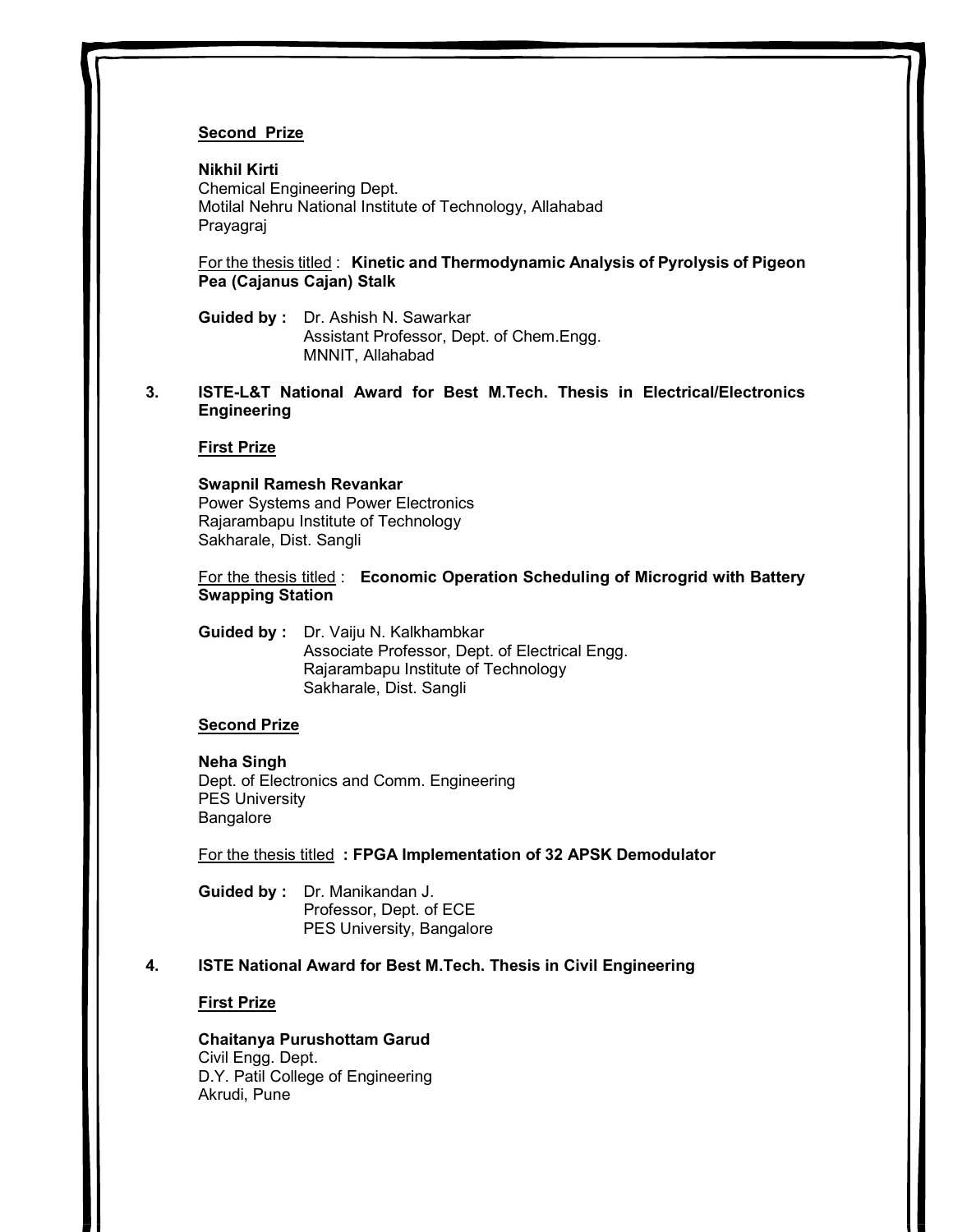## Second Prize

### Nikhil Kirti

Chemical Engineering Dept. Motilal Nehru National Institute of Technology, Allahabad Prayagraj

For the thesis titled : Kinetic and Thermodynamic Analysis of Pyrolysis of Pigeon Pea (Cajanus Cajan) Stalk

Guided by : Dr. Ashish N. Sawarkar Assistant Professor, Dept. of Chem.Engg. MNNIT, Allahabad

3. ISTE-L&T National Award for Best M.Tech. Thesis in Electrical/Electronics Engineering

#### First Prize

### Swapnil Ramesh Revankar Power Systems and Power Electronics Rajarambapu Institute of Technology Sakharale, Dist. Sangli

For the thesis titled : Economic Operation Scheduling of Microgrid with Battery Swapping Station

Guided by : Dr. Vaiju N. Kalkhambkar Associate Professor, Dept. of Electrical Engg. Rajarambapu Institute of Technology Sakharale, Dist. Sangli

### Second Prize

#### Neha Singh

Dept. of Electronics and Comm. Engineering PES University Bangalore

For the thesis titled : FPGA Implementation of 32 APSK Demodulator

- Guided by : Dr. Manikandan J. Professor, Dept. of ECE PES University, Bangalore
- 4. ISTE National Award for Best M.Tech. Thesis in Civil Engineering

#### First Prize

Chaitanya Purushottam Garud Civil Engg. Dept. D.Y. Patil College of Engineering Akrudi, Pune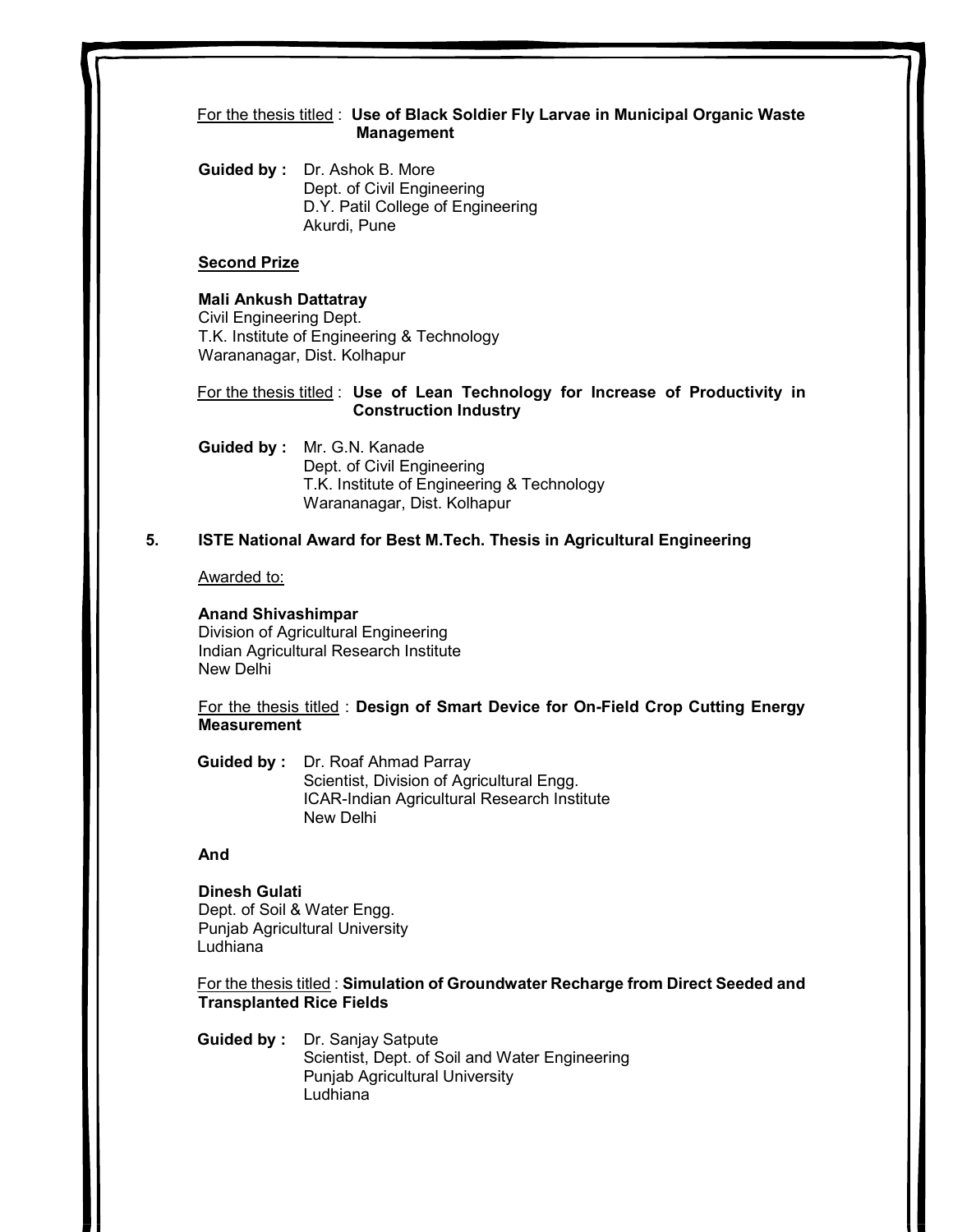## For the thesis titled : Use of Black Soldier Fly Larvae in Municipal Organic Waste Management

Guided by : Dr. Ashok B. More Dept. of Civil Engineering D.Y. Patil College of Engineering Akurdi, Pune

### Second Prize

### Mali Ankush Dattatray

Civil Engineering Dept. T.K. Institute of Engineering & Technology Warananagar, Dist. Kolhapur

For the thesis titled : Use of Lean Technology for Increase of Productivity in Construction Industry

 Guided by : Mr. G.N. Kanade Dept. of Civil Engineering T.K. Institute of Engineering & Technology Warananagar, Dist. Kolhapur

## 5. ISTE National Award for Best M.Tech. Thesis in Agricultural Engineering

Awarded to:

### Anand Shivashimpar

Division of Agricultural Engineering Indian Agricultural Research Institute New Delhi

For the thesis titled : Design of Smart Device for On-Field Crop Cutting Energy **Measurement** 

Guided by : Dr. Roaf Ahmad Parray Scientist, Division of Agricultural Engg. ICAR-Indian Agricultural Research Institute New Delhi

### And

### Dinesh Gulati Dept. of Soil & Water Engg. Punjab Agricultural University Ludhiana<sup>1</sup>

For the thesis titled : Simulation of Groundwater Recharge from Direct Seeded and Transplanted Rice Fields

Guided by : Dr. Sanjay Satpute Scientist, Dept. of Soil and Water Engineering Punjab Agricultural University Ludhiana